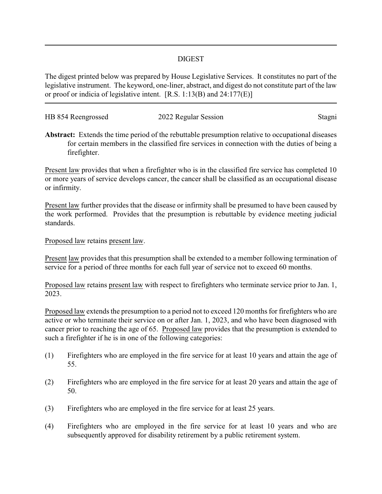## DIGEST

The digest printed below was prepared by House Legislative Services. It constitutes no part of the legislative instrument. The keyword, one-liner, abstract, and digest do not constitute part of the law or proof or indicia of legislative intent. [R.S. 1:13(B) and 24:177(E)]

| HB 854 Reengrossed | 2022 Regular Session | Stagni |
|--------------------|----------------------|--------|
|                    |                      |        |

**Abstract:** Extends the time period of the rebuttable presumption relative to occupational diseases for certain members in the classified fire services in connection with the duties of being a firefighter.

Present law provides that when a firefighter who is in the classified fire service has completed 10 or more years of service develops cancer, the cancer shall be classified as an occupational disease or infirmity.

Present law further provides that the disease or infirmity shall be presumed to have been caused by the work performed. Provides that the presumption is rebuttable by evidence meeting judicial standards.

Proposed law retains present law.

Present law provides that this presumption shall be extended to a member following termination of service for a period of three months for each full year of service not to exceed 60 months.

Proposed law retains present law with respect to firefighters who terminate service prior to Jan. 1, 2023.

Proposed law extends the presumption to a period not to exceed 120 months for firefighters who are active or who terminate their service on or after Jan. 1, 2023, and who have been diagnosed with cancer prior to reaching the age of 65. Proposed law provides that the presumption is extended to such a firefighter if he is in one of the following categories:

- (1) Firefighters who are employed in the fire service for at least 10 years and attain the age of 55.
- (2) Firefighters who are employed in the fire service for at least 20 years and attain the age of 50.
- (3) Firefighters who are employed in the fire service for at least 25 years.
- (4) Firefighters who are employed in the fire service for at least 10 years and who are subsequently approved for disability retirement by a public retirement system.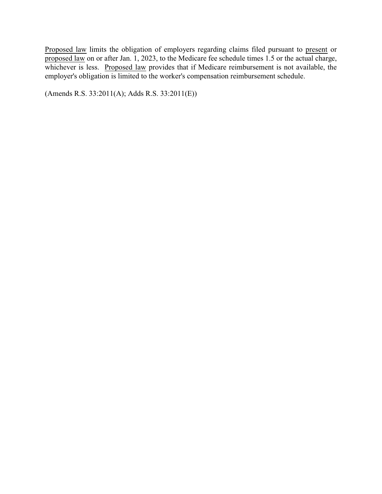Proposed law limits the obligation of employers regarding claims filed pursuant to present or proposed law on or after Jan. 1, 2023, to the Medicare fee schedule times 1.5 or the actual charge, whichever is less. Proposed law provides that if Medicare reimbursement is not available, the employer's obligation is limited to the worker's compensation reimbursement schedule.

(Amends R.S. 33:2011(A); Adds R.S. 33:2011(E))